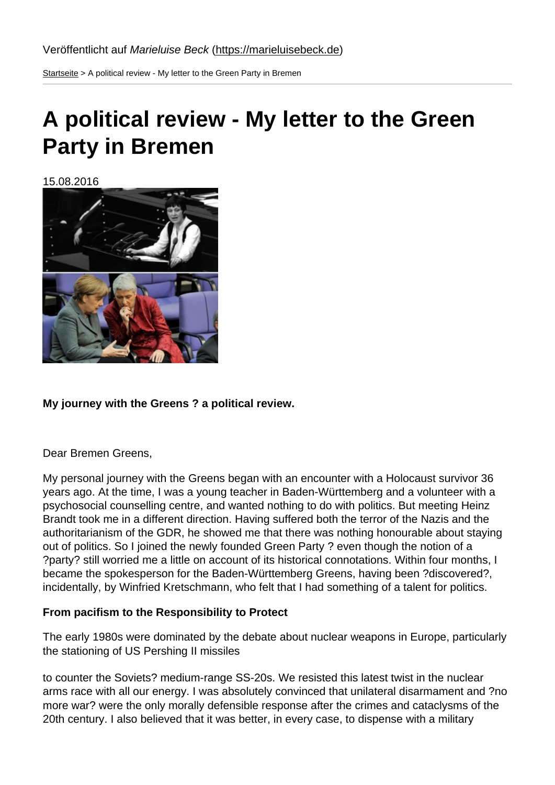Startseite > A political review - My letter to the Green Party in Bremen

# [A po](https://marieluisebeck.de/)litical review - My letter to the Green Party in Bremen

15.08.2016

My journey with the Greens ? a political review.

Dear Bremen Greens,

My personal journey with the Greens began with an encounter with a Holocaust survivor 36 years ago. At the time, I was a young teacher in Baden-Württemberg and a volunteer with a psychosocial counselling centre, and wanted nothing to do with politics. But meeting Heinz Brandt took me in a different direction. Having suffered both the terror of the Nazis and the authoritarianism of the GDR, he showed me that there was nothing honourable about staying out of politics. So I joined the newly founded Green Party ? even though the notion of a ?party? still worried me a little on account of its historical connotations. Within four months, I became the spokesperson for the Baden-Württemberg Greens, having been ?discovered?, incidentally, by Winfried Kretschmann, who felt that I had something of a talent for politics.

From pacifism to the Responsibility to Protect

The early 1980s were dominated by the debate about nuclear weapons in Europe, particularly the stationing of US Pershing II missiles

to counter the Soviets? medium-range SS-20s. We resisted this latest twist in the nuclear arms race with all our energy. I was absolutely convinced that unilateral disarmament and ?no more war? were the only morally defensible response after the crimes and cataclysms of the 20th century. I also believed that it was better, in every case, to dispense with a military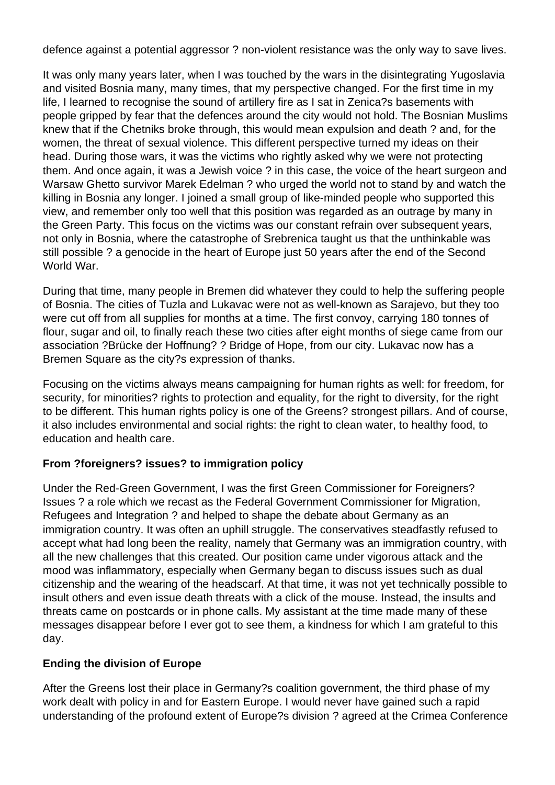defence against a potential aggressor ? non-violent resistance was the only way to save lives.

It was only many years later, when I was touched by the wars in the disintegrating Yugoslavia and visited Bosnia many, many times, that my perspective changed. For the first time in my life, I learned to recognise the sound of artillery fire as I sat in Zenica?s basements with people gripped by fear that the defences around the city would not hold. The Bosnian Muslims knew that if the Chetniks broke through, this would mean expulsion and death ? and, for the women, the threat of sexual violence. This different perspective turned my ideas on their head. During those wars, it was the victims who rightly asked why we were not protecting them. And once again, it was a Jewish voice ? in this case, the voice of the heart surgeon and Warsaw Ghetto survivor Marek Edelman ? who urged the world not to stand by and watch the killing in Bosnia any longer. I joined a small group of like-minded people who supported this view, and remember only too well that this position was regarded as an outrage by many in the Green Party. This focus on the victims was our constant refrain over subsequent years, not only in Bosnia, where the catastrophe of Srebrenica taught us that the unthinkable was still possible ? a genocide in the heart of Europe just 50 years after the end of the Second World War.

During that time, many people in Bremen did whatever they could to help the suffering people of Bosnia. The cities of Tuzla and Lukavac were not as well-known as Sarajevo, but they too were cut off from all supplies for months at a time. The first convoy, carrying 180 tonnes of flour, sugar and oil, to finally reach these two cities after eight months of siege came from our association ?Brücke der Hoffnung? ? Bridge of Hope, from our city. Lukavac now has a Bremen Square as the city?s expression of thanks.

Focusing on the victims always means campaigning for human rights as well: for freedom, for security, for minorities? rights to protection and equality, for the right to diversity, for the right to be different. This human rights policy is one of the Greens? strongest pillars. And of course, it also includes environmental and social rights: the right to clean water, to healthy food, to education and health care.

# **From ?foreigners? issues? to immigration policy**

Under the Red-Green Government, I was the first Green Commissioner for Foreigners? Issues ? a role which we recast as the Federal Government Commissioner for Migration, Refugees and Integration ? and helped to shape the debate about Germany as an immigration country. It was often an uphill struggle. The conservatives steadfastly refused to accept what had long been the reality, namely that Germany was an immigration country, with all the new challenges that this created. Our position came under vigorous attack and the mood was inflammatory, especially when Germany began to discuss issues such as dual citizenship and the wearing of the headscarf. At that time, it was not yet technically possible to insult others and even issue death threats with a click of the mouse. Instead, the insults and threats came on postcards or in phone calls. My assistant at the time made many of these messages disappear before I ever got to see them, a kindness for which I am grateful to this day.

## **Ending the division of Europe**

After the Greens lost their place in Germany?s coalition government, the third phase of my work dealt with policy in and for Eastern Europe. I would never have gained such a rapid understanding of the profound extent of Europe?s division ? agreed at the Crimea Conference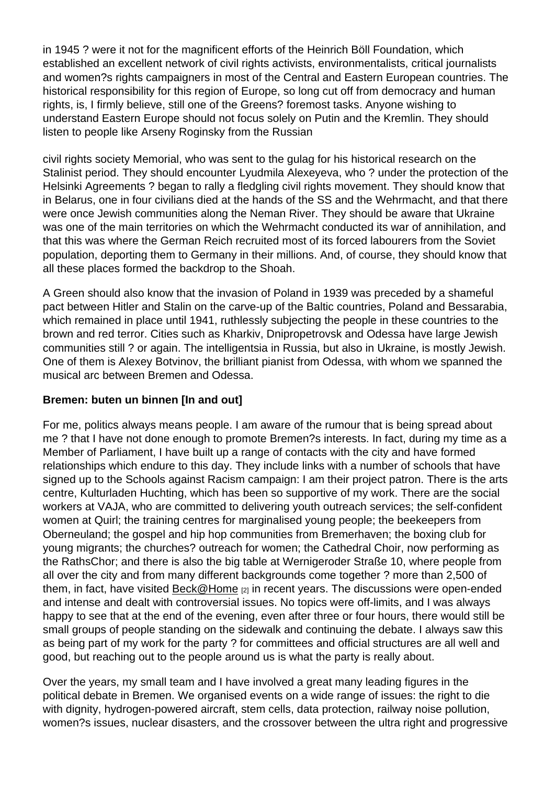in 1945 ? were it not for the magnificent efforts of the Heinrich Böll Foundation, which established an excellent network of civil rights activists, environmentalists, critical journalists and women?s rights campaigners in most of the Central and Eastern European countries. The historical responsibility for this region of Europe, so long cut off from democracy and human rights, is, I firmly believe, still one of the Greens? foremost tasks. Anyone wishing to understand Eastern Europe should not focus solely on Putin and the Kremlin. They should listen to people like Arseny Roginsky from the Russian

civil rights society Memorial, who was sent to the gulag for his historical research on the Stalinist period. They should encounter Lyudmila Alexeyeva, who ? under the protection of the Helsinki Agreements ? began to rally a fledgling civil rights movement. They should know that in Belarus, one in four civilians died at the hands of the SS and the Wehrmacht, and that there were once Jewish communities along the Neman River. They should be aware that Ukraine was one of the main territories on which the Wehrmacht conducted its war of annihilation, and that this was where the German Reich recruited most of its forced labourers from the Soviet population, deporting them to Germany in their millions. And, of course, they should know that all these places formed the backdrop to the Shoah.

A Green should also know that the invasion of Poland in 1939 was preceded by a shameful pact between Hitler and Stalin on the carve-up of the Baltic countries, Poland and Bessarabia, which remained in place until 1941, ruthlessly subjecting the people in these countries to the brown and red terror. Cities such as Kharkiv, Dnipropetrovsk and Odessa have large Jewish communities still ? or again. The intelligentsia in Russia, but also in Ukraine, is mostly Jewish. One of them is Alexey Botvinov, the brilliant pianist from Odessa, with whom we spanned the musical arc between Bremen and Odessa.

#### Bremen: buten un binnen [In and out]

For me, politics always means people. I am aware of the rumour that is being spread about me ? that I have not done enough to promote Bremen?s interests. In fact, during my time as a Member of Parliament, I have built up a range of contacts with the city and have formed relationships which endure to this day. They include links with a number of schools that have signed up to the Schools against Racism campaign: I am their project patron. There is the arts centre, Kulturladen Huchting, which has been so supportive of my work. There are the social workers at VAJA, who are committed to delivering youth outreach services; the self-confident women at Quirl; the training centres for marginalised young people; the beekeepers from Oberneuland; the gospel and hip hop communities from Bremerhaven; the boxing club for young migrants; the churches? outreach for women; the Cathedral Choir, now performing as the RathsChor; and there is also the big table at Wernigeroder Straße 10, where people from all over the city and from many different backgrounds come together ? more than 2,500 of them, in fact, have visited  $Beck@Home$  [2] in recent years. The discussions were open-ended and intense and dealt with controversial issues. No topics were off-limits, and I was always happy to see that at the end of the evening, even after three or four hours, there would still be small groups of people st[anding on the s](mailto:Beck@Home)idewalk and continuing the debate. I always saw this as being part of my work for the party ? for committees and official structures are all well and good, but reaching out to the people around us is what the party is really about.

Over the years, my small team and I have involved a great many leading figures in the political debate in Bremen. We organised events on a wide range of issues: the right to die with dignity, hydrogen-powered aircraft, stem cells, data protection, railway noise pollution, women?s issues, nuclear disasters, and the crossover between the ultra right and progressive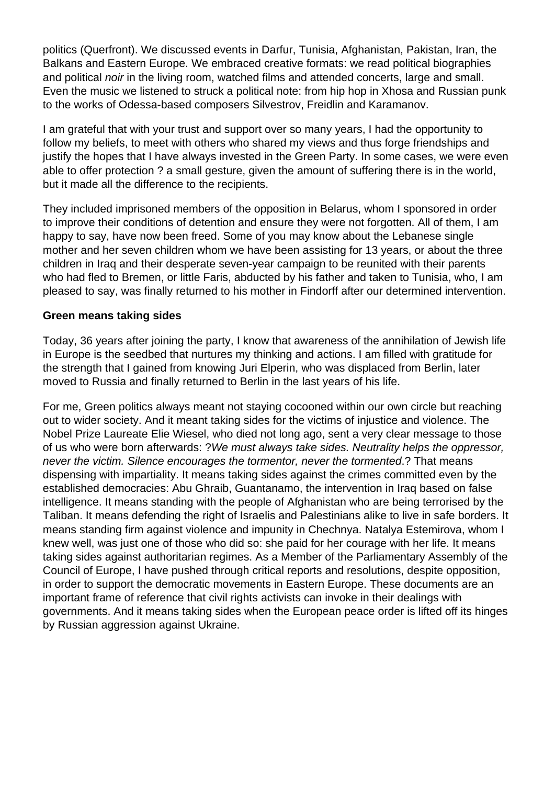politics (Querfront). We discussed events in Darfur, Tunisia, Afghanistan, Pakistan, Iran, the Balkans and Eastern Europe. We embraced creative formats: we read political biographies and political noir in the living room, watched films and attended concerts, large and small. Even the music we listened to struck a political note: from hip hop in Xhosa and Russian punk to the works of Odessa-based composers Silvestrov, Freidlin and Karamanov.

I am grateful that with your trust and support over so many years, I had the opportunity to follow my beliefs, to meet with others who shared my views and thus forge friendships and justify the hopes that I have always invested in the Green Party. In some cases, we were even able to offer protection ? a small gesture, given the amount of suffering there is in the world, but it made all the difference to the recipients.

They included imprisoned members of the opposition in Belarus, whom I sponsored in order to improve their conditions of detention and ensure they were not forgotten. All of them, I am happy to say, have now been freed. Some of you may know about the Lebanese single mother and her seven children whom we have been assisting for 13 years, or about the three children in Iraq and their desperate seven-year campaign to be reunited with their parents who had fled to Bremen, or little Faris, abducted by his father and taken to Tunisia, who, I am pleased to say, was finally returned to his mother in Findorff after our determined intervention.

#### **Green means taking sides**

Today, 36 years after joining the party, I know that awareness of the annihilation of Jewish life in Europe is the seedbed that nurtures my thinking and actions. I am filled with gratitude for the strength that I gained from knowing Juri Elperin, who was displaced from Berlin, later moved to Russia and finally returned to Berlin in the last years of his life.

For me, Green politics always meant not staying cocooned within our own circle but reaching out to wider society. And it meant taking sides for the victims of injustice and violence. The Nobel Prize Laureate Elie Wiesel, who died not long ago, sent a very clear message to those of us who were born afterwards: ?We must always take sides. Neutrality helps the oppressor, never the victim. Silence encourages the tormentor, never the tormented.? That means dispensing with impartiality. It means taking sides against the crimes committed even by the established democracies: Abu Ghraib, Guantanamo, the intervention in Iraq based on false intelligence. It means standing with the people of Afghanistan who are being terrorised by the Taliban. It means defending the right of Israelis and Palestinians alike to live in safe borders. It means standing firm against violence and impunity in Chechnya. Natalya Estemirova, whom I knew well, was just one of those who did so: she paid for her courage with her life. It means taking sides against authoritarian regimes. As a Member of the Parliamentary Assembly of the Council of Europe, I have pushed through critical reports and resolutions, despite opposition, in order to support the democratic movements in Eastern Europe. These documents are an important frame of reference that civil rights activists can invoke in their dealings with governments. And it means taking sides when the European peace order is lifted off its hinges by Russian aggression against Ukraine.